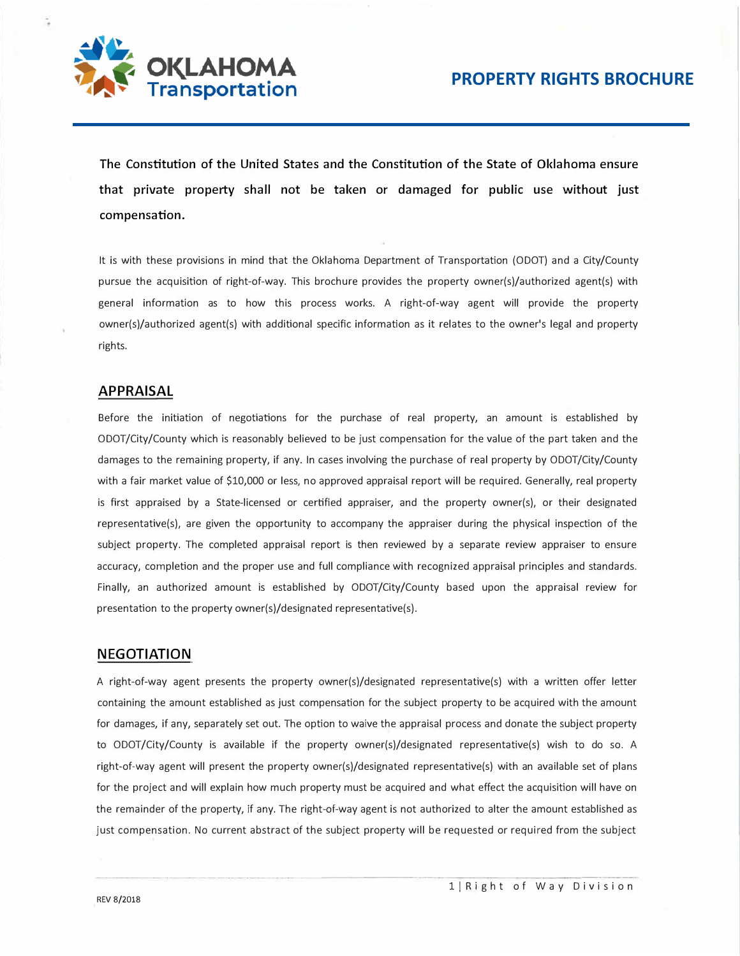

**The Constitution of the United States and the Constitution of the State of Oklahoma ensure that private property shall not be taken or damaged for public use without just compensation.** 

It is with these provisions in mind that the Oklahoma Department of Transportation (ODOT) and a City/County pursue the acquisition of right-of-way. This brochure provides the property owner(s)/authorized agent(s) with general information as to how this process works. A right-of-way agent will provide the property owner(s)/authorized agent(s) with additional specific information as it relates to the owner's legal and property rights.

#### **APPRAISAL**

Before the initiation of negotiations for the purchase of real property, an amount is established by ODOT/City/County which is reasonably believed to be just compensation for the value of the part taken and the damages to the remaining property, if any. In cases involving the purchase of real property by ODOT/City/County with a fair market value of \$10,000 or less, no approved appraisal report will be required. Generally, real property is first appraised by a State-licensed or certified appraiser, and the property owner(s), or their designated representative(s), are given the opportunity to accompany the appraiser during the physical inspection of the subject property. The completed appraisal report is then reviewed by a separate review appraiser to ensure accuracy, completion and the proper use and full compliance with recognized appraisal principles and standards. Finally, an authorized amount is established by ODOT/City/County based upon the appraisal review for presentation to the property owner(s)/designated representative(s).

#### **NEGOTIATION**

A right-of-way agent presents the property owner(s)/designated representative(s) with a written offer letter containing the amount established as just compensation for the subject property to be acquired with the amount for damages, if any, separately set out. The option to waive the appraisal process and donate the subject property to ODOT/City/County is available if the property owner(s)/designated representative(s) wish to do so. A right-of-way agent will present the property owner(s)/designated representative(s) with an available set of plans for the project and will explain how much property must be acquired and what effect the acquisition will have on the remainder of the property, if any. The right-of-way agent is not authorized to alter the amount established as just compensation. No current abstract of the subject property will be requested or required from the subject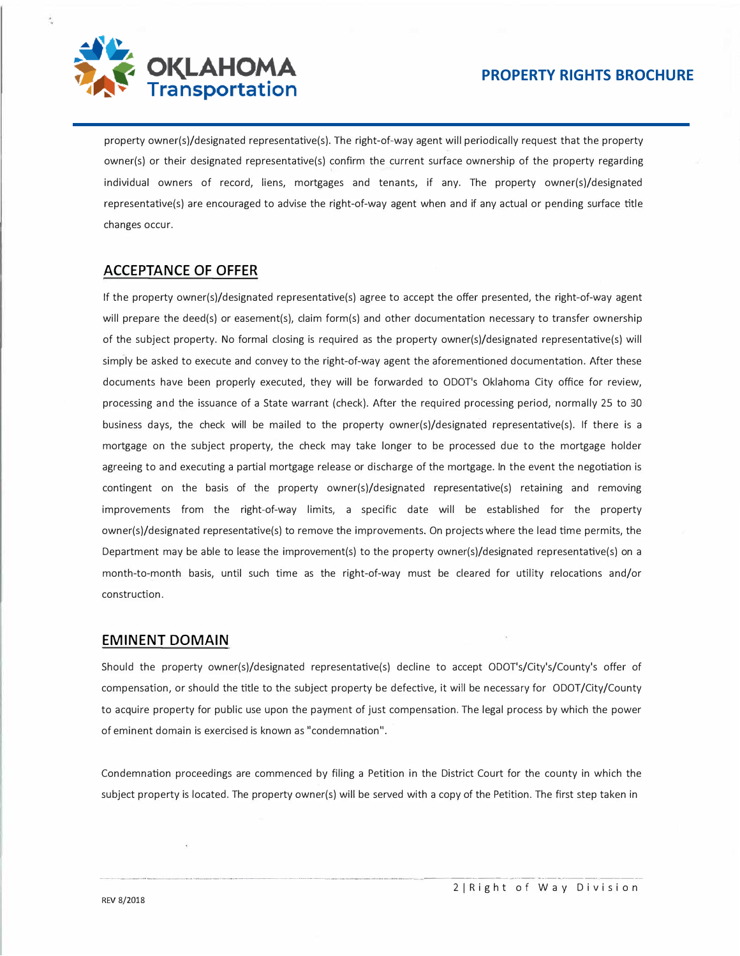

property owner(s)/designated representative(s). The right-of-way agent will periodically request that the property owner(s) or their designated representative(s) confirm the current surface ownership of the property regarding individual owners of record, liens, mortgages and tenants, if any. The property owner(s)/designated representative(s) are encouraged to advise the right-of-way agent when and if any actual or pending surface title changes occur.

## **ACCEPTANCE OF OFFER**

If the property owner(s)/designated representative(s) agree to accept the offer presented, the right-of-way agent will prepare the deed(s) or easement(s), claim form(s) and other documentation necessary to transfer ownership of the subject property. No formal closing is required as the property owner(s)/designated representative(s) will simply be asked to execute and convey to the right-of-way agent the aforementioned documentation. After these documents have been properly executed, they will be forwarded to ODOT's Oklahoma City office for review, processing and the issuance of a State warrant (check). After the required processing period, normally 25 to 30 business days, the check will be mailed to the property owner(s)/designated representative(s). If there is a mortgage on the subject property, the check may take longer to be processed due to the mortgage holder agreeing to and executing a partial mortgage release or discharge of the mortgage. In the event the negotiation is contingent on the basis of the property owner(s)/designated representative(s) retaining and removing improvements from the right-of-way limits, a specific date will be established for the property owner(s)/designated representative(s) to remove the improvements. On projects where the lead time permits, the Department may be able to lease the improvement(s) to the property owner(s)/designated representative(s) on a month-to-month basis, until such time as the right-of-way must be cleared for utility relocations and/or construction.

### **EMINENT DOMAIN**

Should the property owner(s)/designated representative(s) decline to accept ODOT's/City's/County's offer of compensation, or should the title to the subject property be defective, it will be necessary for ODOT/City/County to acquire property for public use upon the payment of just compensation. The legal process by which the power of eminent domain is exercised is known as "condemnation".

Condemnation proceedings are commenced by filing a Petition in the District Court for the county in which the subject property is located. The property owner(s) will be served with a copy of the Petition. The first step taken in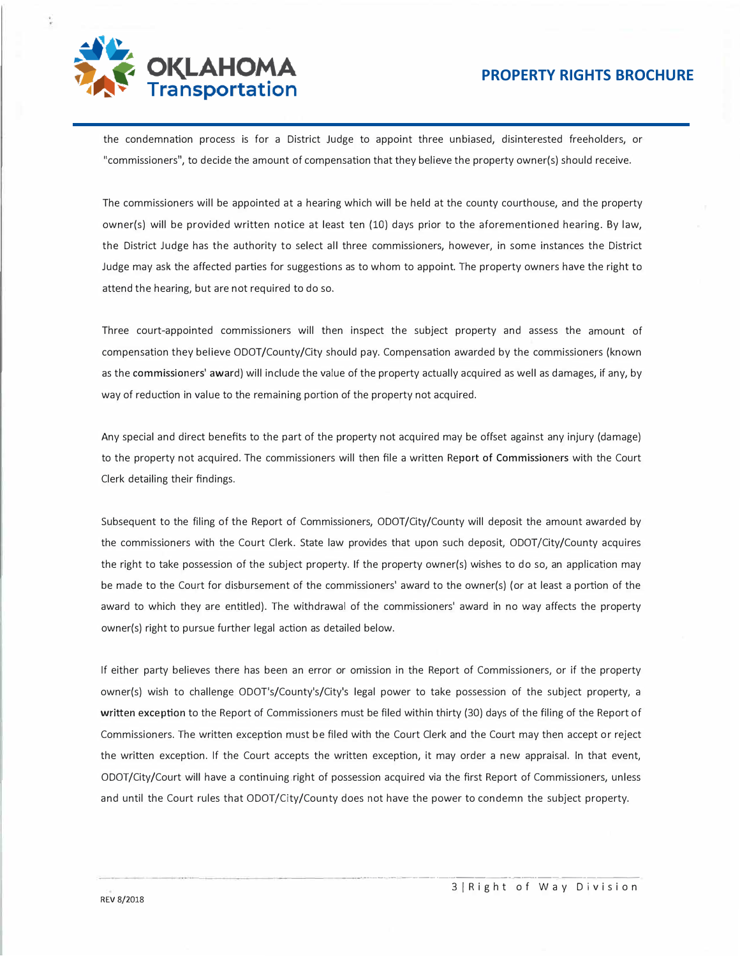

the condemnation process is for a District Judge to appoint three unbiased, disinterested freeholders, or "commissioners", to decide the amount of compensation that they believe the property owner(s) should receive.

The commissioners will be appointed at a hearing which will be held at the county courthouse, and the property owner(s) will be provided written notice at least ten (10) days prior to the aforementioned hearing. By law, the District Judge has the authority to select all three commissioners, however, in some instances the District Judge may ask the affected parties for suggestions as to whom to appoint. The property owners have the right to attend the hearing, but are not required to do so.

Three court-appointed commissioners will then inspect the subject property and assess the amount of compensation they believe ODOT/County/City should pay. Compensation awarded by the commissioners (known as the commissioners' award) will include the value of the property actually acquired as well as damages, if any, by way of reduction in value to the remaining portion of the property not acquired.

Any special and direct benefits to the part of the property not acquired may be offset against any injury (damage) to the property not acquired. The commissioners will then file a written Report of Commissioners with the Court Clerk detailing their findings.

Subsequent to the filing of the Report of Commissioners, ODOT/City/County will deposit the amount awarded by the commissioners with the Court Clerk. State law provides that upon such deposit, ODOT/City/County acquires the right to take possession of the subject property. If the property owner(s) wishes to do so, an application may be made to the Court for disbursement of the commissioners' award to the owner(s) (or at least a portion of the award to which they are entitled). The withdrawal of the commissioners' award in no way affects the property owner(s) right to pursue further legal action as detailed below.

If either party believes there has been an error or omission in the Report of Commissioners, or if the property owner(s) wish to challenge ODOT's/County's/City's legal power to take possession of the subject property, a **written exception** to the Report of Commissioners must be filed within thirty (30) days of the filing of the Report of Commissioners. The written exception must be filed with the Court Clerk and the Court may then accept or reject the written exception. If the Court accepts the written exception, it may order a new appraisal. In that event, ODOT/City/Court will have a continuing.right of possession acquired via the first Report of Commissioners, unless and until the Court rules that ODOT/City/County does not have the power to condemn the subject property.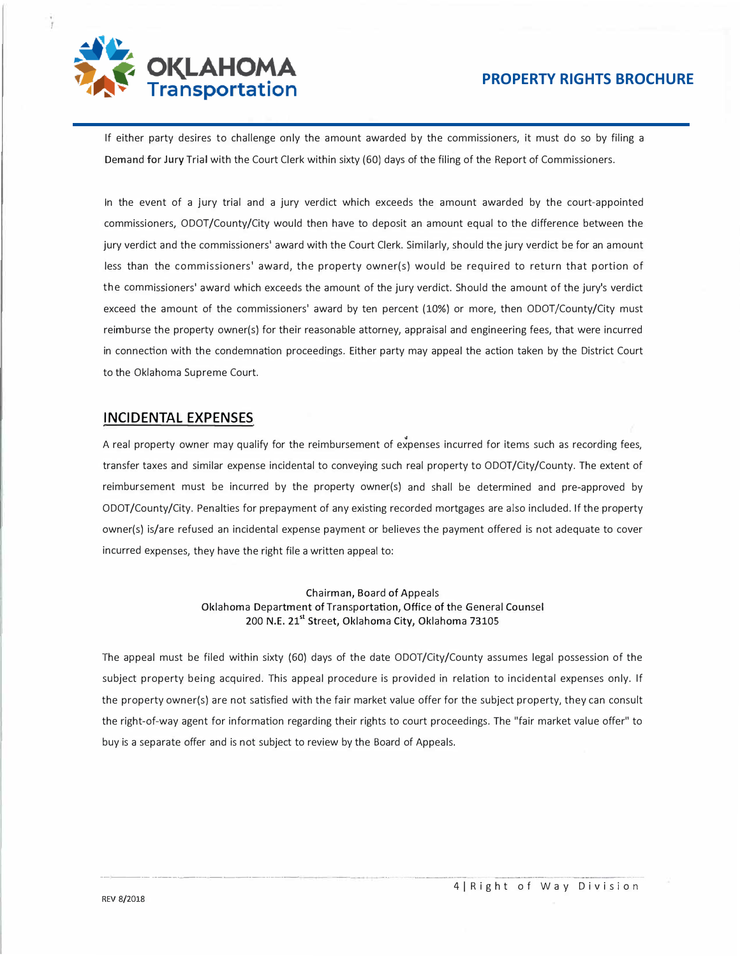

If either party desires to challenge only the amount awarded by the commissioners, it must do so by filing a Demand for Jury Trial with the Court Clerk within sixty (60) days of the filing of the Report of Commissioners.

In the event of a jury trial and a jury verdict which exceeds the amount awarded by the court-appointed commissioners, ODOT/County/City would then have to deposit an amount equal to the difference between the jury verdict and the commissioners' award with the Court Clerk. Similarly, should the jury verdict be for an amount less than the commissioners' award, the property owner(s) would be required to return that portion of the commissioners' award which exceeds the amount of the jury verdict. Should the amount of the jury's verdict exceed the amount of the commissioners' award by ten percent (10%) or more, then ODOT/County/City must reimburse the property owner(s) for their reasonable attorney, appraisal and engineering fees, that were incurred in connection with the condemnation proceedings. Either party may appeal the action taken by the District Court to the Oklahoma Supreme Court.

### **INCIDENTAL EXPENSES**

A real property owner may qualify for the reimbursement of expenses incurred for items such as recording fees, transfer taxes and similar expense incidental to conveying such real property to ODOT/City/County. The extent of reimbursement must be incurred by the property owner(s) and shall be determined and pre-approved by ODOT/County/City. Penalties for prepayment of any existing recorded mortgages are also included. If the property owner(s) is/are refused an incidental expense payment or believes the payment offered is not adequate to cover incurred expenses, they have the right file a written appeal to:

> Chairman, Board of Appeals Oklahoma Department of Transportation, Office of the General Counsel 200 N.E. 21<sup>st</sup> Street, Oklahoma City, Oklahoma 73105

The appeal must be filed within sixty (60) days of the date ODOT/City/County assumes legal possession of the subject property being acquired. This appeal procedure is provided in relation to incidental expenses only. If the property owner(s) are not satisfied with the fair market value offer for the subject property, they can consult the right-of-way agent for information regarding their rights to court proceedings. The "fair market value offer" to buy is a separate offer and is not subject to review by the Board of Appeals.

-----·- -----· --- ---------